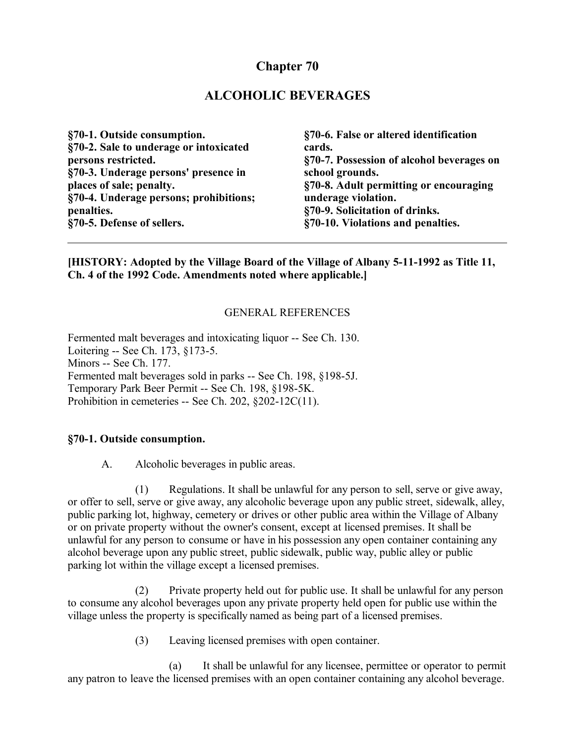# **Chapter 70**

## **ALCOHOLIC BEVERAGES**

**§70-1. Outside consumption. §70-2. Sale to underage or intoxicated persons restricted. §70-3. Underage persons' presence in places of sale; penalty. §70-4. Underage persons; prohibitions; penalties. §70-5. Defense of sellers.**

**§70-6. False or altered identification cards. §70-7. Possession of alcohol beverages on school grounds. §70-8. Adult permitting or encouraging underage violation. §70-9. Solicitation of drinks. §70-10. Violations and penalties.**

**[HISTORY: Adopted by the Village Board of the Village of Albany 5-11-1992 as Title 11, Ch. 4 of the 1992 Code. Amendments noted where applicable.]**

#### GENERAL REFERENCES

Fermented malt beverages and intoxicating liquor -- See Ch. 130. Loitering -- See Ch. 173, §173-5. Minors -- See Ch. 177. Fermented malt beverages sold in parks -- See Ch. 198, §198-5J. Temporary Park Beer Permit -- See Ch. 198, §198-5K. Prohibition in cemeteries -- See Ch. 202, §202-12C(11).

#### **§70-1. Outside consumption.**

A. Alcoholic beverages in public areas.

(1) Regulations. It shall be unlawful for any person to sell, serve or give away, or offer to sell, serve or give away, any alcoholic beverage upon any public street, sidewalk, alley, public parking lot, highway, cemetery or drives or other public area within the Village of Albany or on private property without the owner's consent, except at licensed premises. It shall be unlawful for any person to consume or have in his possession any open container containing any alcohol beverage upon any public street, public sidewalk, public way, public alley or public parking lot within the village except a licensed premises.

(2) Private property held out for public use. It shall be unlawful for any person to consume any alcohol beverages upon any private property held open for public use within the village unless the property is specifically named as being part of a licensed premises.

(3) Leaving licensed premises with open container.

(a) It shall be unlawful for any licensee, permittee or operator to permit any patron to leave the licensed premises with an open container containing any alcohol beverage.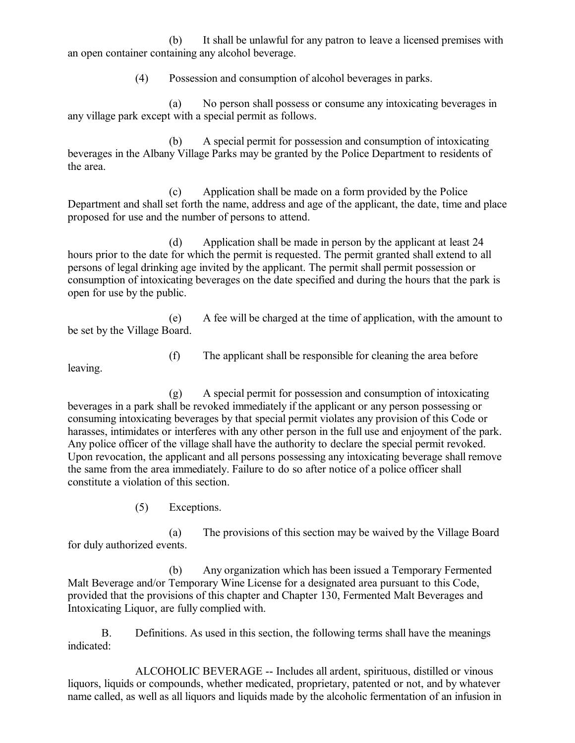(b) It shall be unlawful for any patron to leave a licensed premises with an open container containing any alcohol beverage.

(4) Possession and consumption of alcohol beverages in parks.

(a) No person shall possess or consume any intoxicating beverages in any village park except with a special permit as follows.

(b) A special permit for possession and consumption of intoxicating beverages in the Albany Village Parks may be granted by the Police Department to residents of the area.

(c) Application shall be made on a form provided by the Police Department and shall set forth the name, address and age of the applicant, the date, time and place proposed for use and the number of persons to attend.

(d) Application shall be made in person by the applicant at least 24 hours prior to the date for which the permit is requested. The permit granted shall extend to all persons of legal drinking age invited by the applicant. The permit shall permit possession or consumption of intoxicating beverages on the date specified and during the hours that the park is open for use by the public.

(e) A fee will be charged at the time of application, with the amount to be set by the Village Board.

leaving.

(f) The applicant shall be responsible for cleaning the area before

(g) A special permit for possession and consumption of intoxicating beverages in a park shall be revoked immediately if the applicant or any person possessing or consuming intoxicating beverages by that special permit violates any provision of this Code or harasses, intimidates or interferes with any other person in the full use and enjoyment of the park. Any police officer of the village shall have the authority to declare the special permit revoked. Upon revocation, the applicant and all persons possessing any intoxicating beverage shall remove the same from the area immediately. Failure to do so after notice of a police officer shall constitute a violation of this section.

(5) Exceptions.

(a) The provisions of this section may be waived by the Village Board for duly authorized events.

(b) Any organization which has been issued a Temporary Fermented Malt Beverage and/or Temporary Wine License for a designated area pursuant to this Code, provided that the provisions of this chapter and Chapter 130, Fermented Malt Beverages and Intoxicating Liquor, are fully complied with.

B. Definitions. As used in this section, the following terms shall have the meanings indicated:

ALCOHOLIC BEVERAGE -- Includes all ardent, spirituous, distilled or vinous liquors, liquids or compounds, whether medicated, proprietary, patented or not, and by whatever name called, as well as all liquors and liquids made by the alcoholic fermentation of an infusion in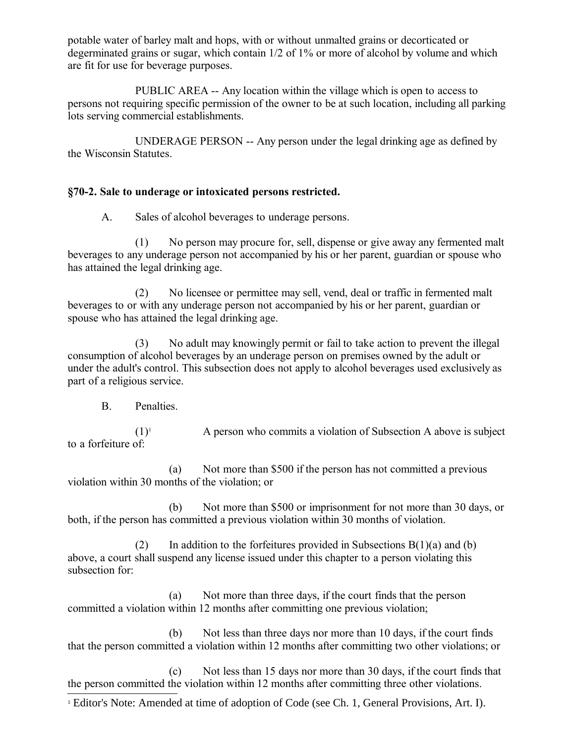potable water of barley malt and hops, with or without unmalted grains or decorticated or degerminated grains or sugar, which contain 1/2 of 1% or more of alcohol by volume and which are fit for use for beverage purposes.

PUBLIC AREA -- Any location within the village which is open to access to persons not requiring specific permission of the owner to be at such location, including all parking lots serving commercial establishments.

UNDERAGE PERSON -- Any person under the legal drinking age as defined by the Wisconsin Statutes.

### **§70-2. Sale to underage or intoxicated persons restricted.**

A. Sales of alcohol beverages to underage persons.

(1) No person may procure for, sell, dispense or give away any fermented malt beverages to any underage person not accompanied by his or her parent, guardian or spouse who has attained the legal drinking age.

(2) No licensee or permittee may sell, vend, deal or traffic in fermented malt beverages to or with any underage person not accompanied by his or her parent, guardian or spouse who has attained the legal drinking age.

(3) No adult may knowingly permit or fail to take action to prevent the illegal consumption of alcohol beverages by an underage person on premises owned by the adult or under the adult's control. This subsection does not apply to alcohol beverages used exclusively as part of a religious service.

B. Penalties.

 $(1)^1$  $(1)^1$  $(1)^1$  A person who commits a violation of Subsection A above is subject to a forfeiture of:

(a) Not more than \$500 if the person has not committed a previous violation within 30 months of the violation; or

(b) Not more than \$500 or imprisonment for not more than 30 days, or both, if the person has committed a previous violation within 30 months of violation.

(2) In addition to the forfeitures provided in Subsections  $B(1)(a)$  and (b) above, a court shall suspend any license issued under this chapter to a person violating this subsection for:

(a) Not more than three days, if the court finds that the person committed a violation within 12 months after committing one previous violation;

(b) Not less than three days nor more than 10 days, if the court finds that the person committed a violation within 12 months after committing two other violations; or

(c) Not less than 15 days nor more than 30 days, if the court finds that the person committed the violation within 12 months after committing three other violations.

<span id="page-2-0"></span><sup>1</sup> Editor's Note: Amended at time of adoption of Code (see Ch. 1, General Provisions, Art. I).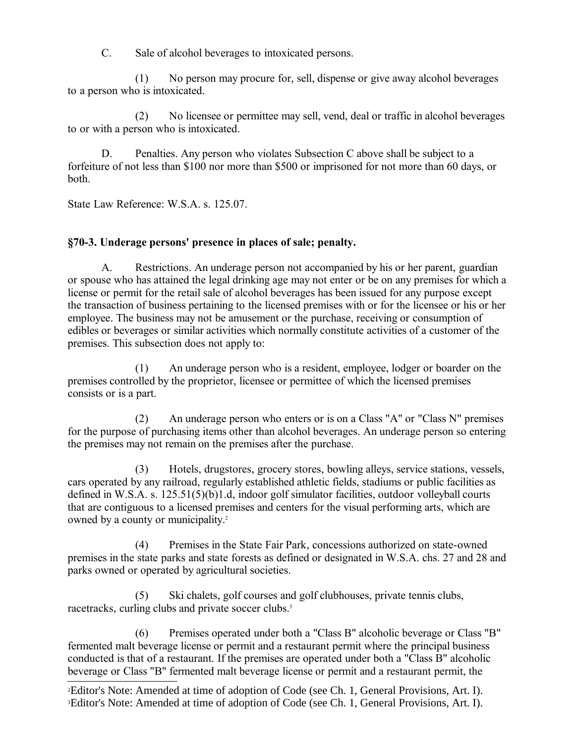C. Sale of alcohol beverages to intoxicated persons.

(1) No person may procure for, sell, dispense or give away alcohol beverages to a person who is intoxicated.

(2) No licensee or permittee may sell, vend, deal or traffic in alcohol beverages to or with a person who is intoxicated.

D. Penalties. Any person who violates Subsection C above shall be subject to a forfeiture of not less than \$100 nor more than \$500 or imprisoned for not more than 60 days, or both.

State Law Reference: W.S.A. s. 125.07.

#### **§70-3. Underage persons' presence in places of sale; penalty.**

A. Restrictions. An underage person not accompanied by his or her parent, guardian or spouse who has attained the legal drinking age may not enter or be on any premises for which a license or permit for the retail sale of alcohol beverages has been issued for any purpose except the transaction of business pertaining to the licensed premises with or for the licensee or his or her employee. The business may not be amusement or the purchase, receiving or consumption of edibles or beverages or similar activities which normally constitute activities of a customer of the premises. This subsection does not apply to:

(1) An underage person who is a resident, employee, lodger or boarder on the premises controlled by the proprietor, licensee or permittee of which the licensed premises consists or is a part.

(2) An underage person who enters or is on a Class "A" or "Class N" premises for the purpose of purchasing items other than alcohol beverages. An underage person so entering the premises may not remain on the premises after the purchase.

(3) Hotels, drugstores, grocery stores, bowling alleys, service stations, vessels, cars operated by any railroad, regularly established athletic fields, stadiums or public facilities as defined in W.S.A. s. 125.51(5)(b)1.d, indoor golf simulator facilities, outdoor volleyball courts that are contiguous to a licensed premises and centers for the visual performing arts, which are owned by a county or municipality.<sup>[2](#page-3-0)</sup>

(4) Premises in the State Fair Park, concessions authorized on state-owned premises in the state parks and state forests as defined or designated in W.S.A. chs. 27 and 28 and parks owned or operated by agricultural societies.

(5) Ski chalets, golf courses and golf clubhouses, private tennis clubs, racetracks, curling clubs and private soccer clubs.<sup>[3](#page-3-1)</sup>

(6) Premises operated under both a "Class B" alcoholic beverage or Class "B" fermented malt beverage license or permit and a restaurant permit where the principal business conducted is that of a restaurant. If the premises are operated under both a "Class B" alcoholic beverage or Class "B" fermented malt beverage license or permit and a restaurant permit, the

<span id="page-3-1"></span><span id="page-3-0"></span><sup>2</sup>Editor's Note: Amended at time of adoption of Code (see Ch. 1, General Provisions, Art. I). 3Editor's Note: Amended at time of adoption of Code (see Ch. 1, General Provisions, Art. I).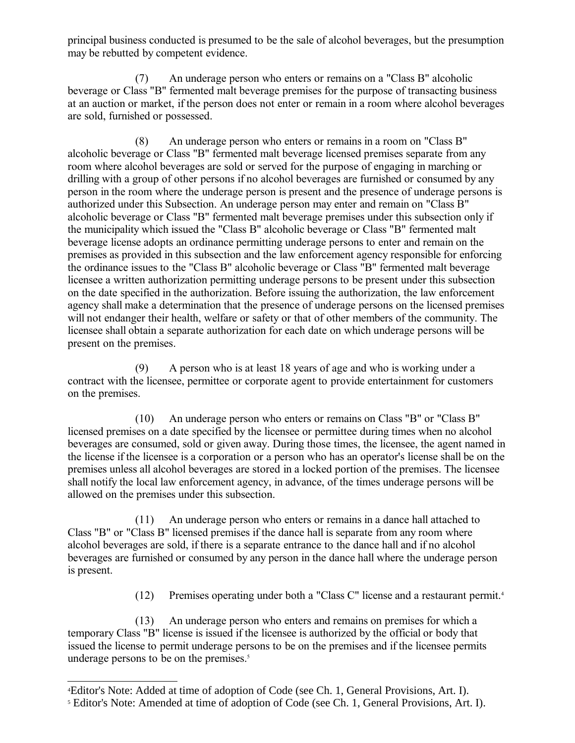principal business conducted is presumed to be the sale of alcohol beverages, but the presumption may be rebutted by competent evidence.

(7) An underage person who enters or remains on a "Class B" alcoholic beverage or Class "B" fermented malt beverage premises for the purpose of transacting business at an auction or market, if the person does not enter or remain in a room where alcohol beverages are sold, furnished or possessed.

(8) An underage person who enters or remains in a room on "Class B" alcoholic beverage or Class "B" fermented malt beverage licensed premises separate from any room where alcohol beverages are sold or served for the purpose of engaging in marching or drilling with a group of other persons if no alcohol beverages are furnished or consumed by any person in the room where the underage person is present and the presence of underage persons is authorized under this Subsection. An underage person may enter and remain on "Class B" alcoholic beverage or Class "B" fermented malt beverage premises under this subsection only if the municipality which issued the "Class B" alcoholic beverage or Class "B" fermented malt beverage license adopts an ordinance permitting underage persons to enter and remain on the premises as provided in this subsection and the law enforcement agency responsible for enforcing the ordinance issues to the "Class B" alcoholic beverage or Class "B" fermented malt beverage licensee a written authorization permitting underage persons to be present under this subsection on the date specified in the authorization. Before issuing the authorization, the law enforcement agency shall make a determination that the presence of underage persons on the licensed premises will not endanger their health, welfare or safety or that of other members of the community. The licensee shall obtain a separate authorization for each date on which underage persons will be present on the premises.

(9) A person who is at least 18 years of age and who is working under a contract with the licensee, permittee or corporate agent to provide entertainment for customers on the premises.

(10) An underage person who enters or remains on Class "B" or "Class B" licensed premises on a date specified by the licensee or permittee during times when no alcohol beverages are consumed, sold or given away. During those times, the licensee, the agent named in the license if the licensee is a corporation or a person who has an operator's license shall be on the premises unless all alcohol beverages are stored in a locked portion of the premises. The licensee shall notify the local law enforcement agency, in advance, of the times underage persons will be allowed on the premises under this subsection.

(11) An underage person who enters or remains in a dance hall attached to Class "B" or "Class B" licensed premises if the dance hall is separate from any room where alcohol beverages are sold, if there is a separate entrance to the dance hall and if no alcohol beverages are furnished or consumed by any person in the dance hall where the underage person is present.

(12) Premises operating under both a "Class C" license and a restaurant permit.[4](#page-4-0)

(13) An underage person who enters and remains on premises for which a temporary Class "B" license is issued if the licensee is authorized by the official or body that issued the license to permit underage persons to be on the premises and if the licensee permits underage persons to be on the premises.<sup>[5](#page-4-1)</sup>

<span id="page-4-0"></span><sup>4</sup>Editor's Note: Added at time of adoption of Code (see Ch. 1, General Provisions, Art. I).

<span id="page-4-1"></span><sup>&</sup>lt;sup>5</sup> Editor's Note: Amended at time of adoption of Code (see Ch. 1, General Provisions, Art. I).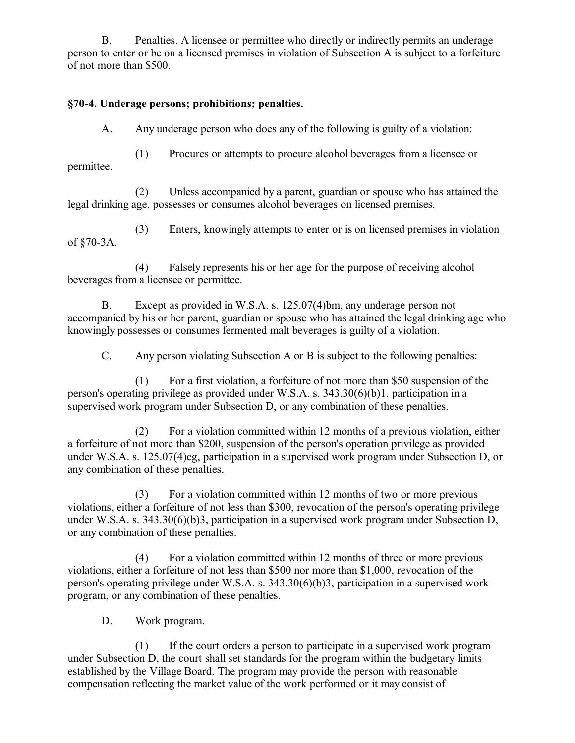B. Penalties. A licensee or permittee who directly or indirectly permits an underage person to enter or be on a licensed premises in violation of Subsection A is subject to a forfeiture of not more than \$500.

### **§70-4. Underage persons; prohibitions; penalties.**

A. Any underage person who does any of the following is guilty of a violation:

(1) Procures or attempts to procure alcohol beverages from a licensee or permittee.

(2) Unless accompanied by a parent, guardian or spouse who has attained the legal drinking age, possesses or consumes alcohol beverages on licensed premises.

(3) Enters, knowingly attempts to enter or is on licensed premises in violation of §70-3A.

(4) Falsely represents his or her age for the purpose of receiving alcohol beverages from a licensee or permittee.

B. Except as provided in W.S.A. s. 125.07(4)bm, any underage person not accompanied by his or her parent, guardian or spouse who has attained the legal drinking age who knowingly possesses or consumes fermented malt beverages is guilty of a violation.

C. Any person violating Subsection A or B is subject to the following penalties:

(1) For a first violation, a forfeiture of not more than \$50 suspension of the person's operating privilege as provided under W.S.A. s. 343.30(6)(b)1, participation in a supervised work program under Subsection D, or any combination of these penalties.

(2) For a violation committed within 12 months of a previous violation, either a forfeiture of not more than \$200, suspension of the person's operation privilege as provided under W.S.A. s. 125.07(4)cg, participation in a supervised work program under Subsection D, or any combination of these penalties.

(3) For a violation committed within 12 months of two or more previous violations, either a forfeiture of not less than \$300, revocation of the person's operating privilege under W.S.A. s. 343.30(6)(b)3, participation in a supervised work program under Subsection D, or any combination of these penalties.

(4) For a violation committed within 12 months of three or more previous violations, either a forfeiture of not less than \$500 nor more than \$1,000, revocation of the person's operating privilege under W.S.A. s. 343.30(6)(b)3, participation in a supervised work program, or any combination of these penalties.

D. Work program.

(1) If the court orders a person to participate in a supervised work program under Subsection D, the court shall set standards for the program within the budgetary limits established by the Village Board. The program may provide the person with reasonable compensation reflecting the market value of the work performed or it may consist of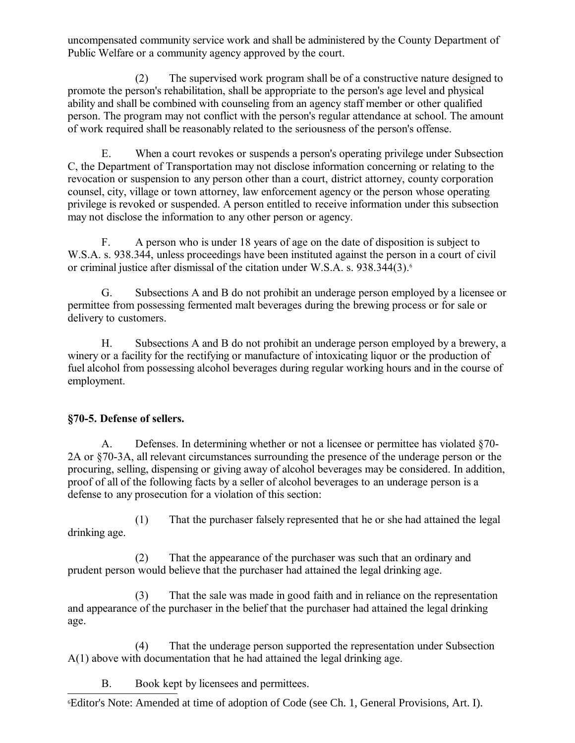uncompensated community service work and shall be administered by the County Department of Public Welfare or a community agency approved by the court.

(2) The supervised work program shall be of a constructive nature designed to promote the person's rehabilitation, shall be appropriate to the person's age level and physical ability and shall be combined with counseling from an agency staff member or other qualified person. The program may not conflict with the person's regular attendance at school. The amount of work required shall be reasonably related to the seriousness of the person's offense.

E. When a court revokes or suspends a person's operating privilege under Subsection C, the Department of Transportation may not disclose information concerning or relating to the revocation or suspension to any person other than a court, district attorney, county corporation counsel, city, village or town attorney, law enforcement agency or the person whose operating privilege is revoked or suspended. A person entitled to receive information under this subsection may not disclose the information to any other person or agency.

F. A person who is under 18 years of age on the date of disposition is subject to W.S.A. s. 938.344, unless proceedings have been instituted against the person in a court of civil or criminal justice after dismissal of the citation under W.S.A. s. 938.344(3).<sup>[6](#page-6-0)</sup>

G. Subsections A and B do not prohibit an underage person employed by a licensee or permittee from possessing fermented malt beverages during the brewing process or for sale or delivery to customers.

H. Subsections A and B do not prohibit an underage person employed by a brewery, a winery or a facility for the rectifying or manufacture of intoxicating liquor or the production of fuel alcohol from possessing alcohol beverages during regular working hours and in the course of employment.

## **§70-5. Defense of sellers.**

A. Defenses. In determining whether or not a licensee or permittee has violated §70- 2A or §70-3A, all relevant circumstances surrounding the presence of the underage person or the procuring, selling, dispensing or giving away of alcohol beverages may be considered. In addition, proof of all of the following facts by a seller of alcohol beverages to an underage person is a defense to any prosecution for a violation of this section:

(1) That the purchaser falsely represented that he or she had attained the legal drinking age.

(2) That the appearance of the purchaser was such that an ordinary and prudent person would believe that the purchaser had attained the legal drinking age.

(3) That the sale was made in good faith and in reliance on the representation and appearance of the purchaser in the belief that the purchaser had attained the legal drinking age.

(4) That the underage person supported the representation under Subsection A(1) above with documentation that he had attained the legal drinking age.

B. Book kept by licensees and permittees.

<span id="page-6-0"></span>6Editor's Note: Amended at time of adoption of Code (see Ch. 1, General Provisions, Art. I).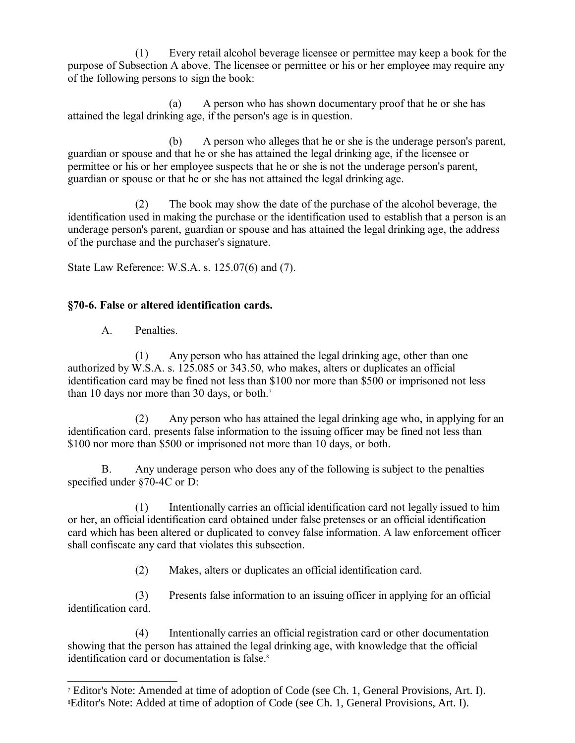(1) Every retail alcohol beverage licensee or permittee may keep a book for the purpose of Subsection A above. The licensee or permittee or his or her employee may require any of the following persons to sign the book:

(a) A person who has shown documentary proof that he or she has attained the legal drinking age, if the person's age is in question.

(b) A person who alleges that he or she is the underage person's parent, guardian or spouse and that he or she has attained the legal drinking age, if the licensee or permittee or his or her employee suspects that he or she is not the underage person's parent, guardian or spouse or that he or she has not attained the legal drinking age.

(2) The book may show the date of the purchase of the alcohol beverage, the identification used in making the purchase or the identification used to establish that a person is an underage person's parent, guardian or spouse and has attained the legal drinking age, the address of the purchase and the purchaser's signature.

State Law Reference: W.S.A. s. 125.07(6) and (7).

## **§70-6. False or altered identification cards.**

A. Penalties.

(1) Any person who has attained the legal drinking age, other than one authorized by W.S.A. s. 125.085 or 343.50, who makes, alters or duplicates an official identification card may be fined not less than \$100 nor more than \$500 or imprisoned not less than 10 days nor more than 30 days, or both.<sup>[7](#page-7-0)</sup>

(2) Any person who has attained the legal drinking age who, in applying for an identification card, presents false information to the issuing officer may be fined not less than \$100 nor more than \$500 or imprisoned not more than 10 days, or both.

B. Any underage person who does any of the following is subject to the penalties specified under §70-4C or D:

(1) Intentionally carries an official identification card not legally issued to him or her, an official identification card obtained under false pretenses or an official identification card which has been altered or duplicated to convey false information. A law enforcement officer shall confiscate any card that violates this subsection.

(2) Makes, alters or duplicates an official identification card.

(3) Presents false information to an issuing officer in applying for an official identification card.

(4) Intentionally carries an official registration card or other documentation showing that the person has attained the legal drinking age, with knowledge that the official identification card or documentation is false.<sup>[8](#page-7-1)</sup>

<span id="page-7-1"></span><span id="page-7-0"></span><sup>&</sup>lt;sup>7</sup> Editor's Note: Amended at time of adoption of Code (see Ch. 1, General Provisions, Art. I). 8Editor's Note: Added at time of adoption of Code (see Ch. 1, General Provisions, Art. I).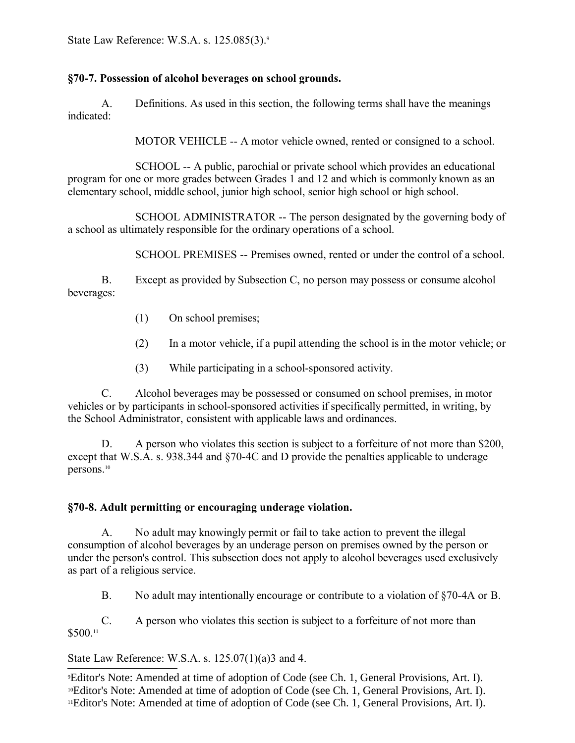State Law Reference: W.S.A. s. 125.085(3).<sup>[9](#page-8-0)</sup>

### **§70-7. Possession of alcohol beverages on school grounds.**

A. Definitions. As used in this section, the following terms shall have the meanings indicated:

MOTOR VEHICLE -- A motor vehicle owned, rented or consigned to a school.

SCHOOL -- A public, parochial or private school which provides an educational program for one or more grades between Grades 1 and 12 and which is commonly known as an elementary school, middle school, junior high school, senior high school or high school.

SCHOOL ADMINISTRATOR -- The person designated by the governing body of a school as ultimately responsible for the ordinary operations of a school.

SCHOOL PREMISES -- Premises owned, rented or under the control of a school.

B. Except as provided by Subsection C, no person may possess or consume alcohol beverages:

- (1) On school premises;
- (2) In a motor vehicle, if a pupil attending the school is in the motor vehicle; or
- (3) While participating in a school-sponsored activity.

C. Alcohol beverages may be possessed or consumed on school premises, in motor vehicles or by participants in school-sponsored activities if specifically permitted, in writing, by the School Administrator, consistent with applicable laws and ordinances.

D. A person who violates this section is subject to a forfeiture of not more than \$200, except that W.S.A. s. 938.344 and §70-4C and D provide the penalties applicable to underage persons.[10](#page-8-1)

## **§70-8. Adult permitting or encouraging underage violation.**

A. No adult may knowingly permit or fail to take action to prevent the illegal consumption of alcohol beverages by an underage person on premises owned by the person or under the person's control. This subsection does not apply to alcohol beverages used exclusively as part of a religious service.

B. No adult may intentionally encourage or contribute to a violation of §70-4A or B.

C. A person who violates this section is subject to a forfeiture of not more than \$500.[11](#page-8-2)

## State Law Reference: W.S.A. s. 125.07(1)(a)3 and 4.

<span id="page-8-2"></span><span id="page-8-1"></span><span id="page-8-0"></span><sup>9</sup>Editor's Note: Amended at time of adoption of Code (see Ch. 1, General Provisions, Art. I). <sup>10</sup>Editor's Note: Amended at time of adoption of Code (see Ch. 1, General Provisions, Art. I). 11Editor's Note: Amended at time of adoption of Code (see Ch. 1, General Provisions, Art. I).